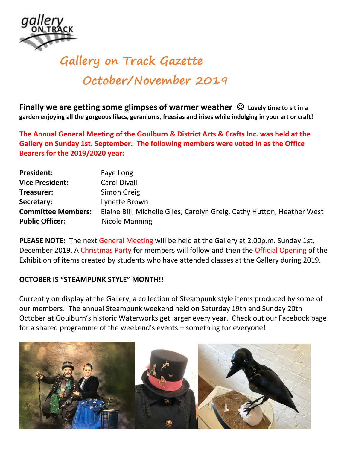

## **Gallery on Track Gazette October/November 2019**

**Finally we are getting some glimpses of warmer weather**  $\heartsuit$  **Lovely time to sit in a garden enjoying all the gorgeous lilacs, geraniums, freesias and irises while indulging in your art or craft!** 

**The Annual General Meeting of the Goulburn & District Arts & Crafts Inc. was held at the Gallery on Sunday 1st. September. The following members were voted in as the Office Bearers for the 2019/2020 year:**

| <b>President:</b>         | Faye Long                                                              |  |
|---------------------------|------------------------------------------------------------------------|--|
| <b>Vice President:</b>    | <b>Carol Divall</b>                                                    |  |
| Treasurer:                | Simon Greig                                                            |  |
| Secretary:                | Lynette Brown                                                          |  |
| <b>Committee Members:</b> | Elaine Bill, Michelle Giles, Carolyn Greig, Cathy Hutton, Heather West |  |
| <b>Public Officer:</b>    | Nicole Manning                                                         |  |

**PLEASE NOTE:** The next General Meeting will be held at the Gallery at 2.00p.m. Sunday 1st. December 2019. A Christmas Party for members will follow and then the Official Opening of the Exhibition of items created by students who have attended classes at the Gallery during 2019.

## **OCTOBER IS "STEAMPUNK STYLE" MONTH!!**

Currently on display at the Gallery, a collection of Steampunk style items produced by some of our members. The annual Steampunk weekend held on Saturday 19th and Sunday 20th October at Goulburn's historic Waterworks get larger every year. Check out our Facebook page for a shared programme of the weekend's events – something for everyone!